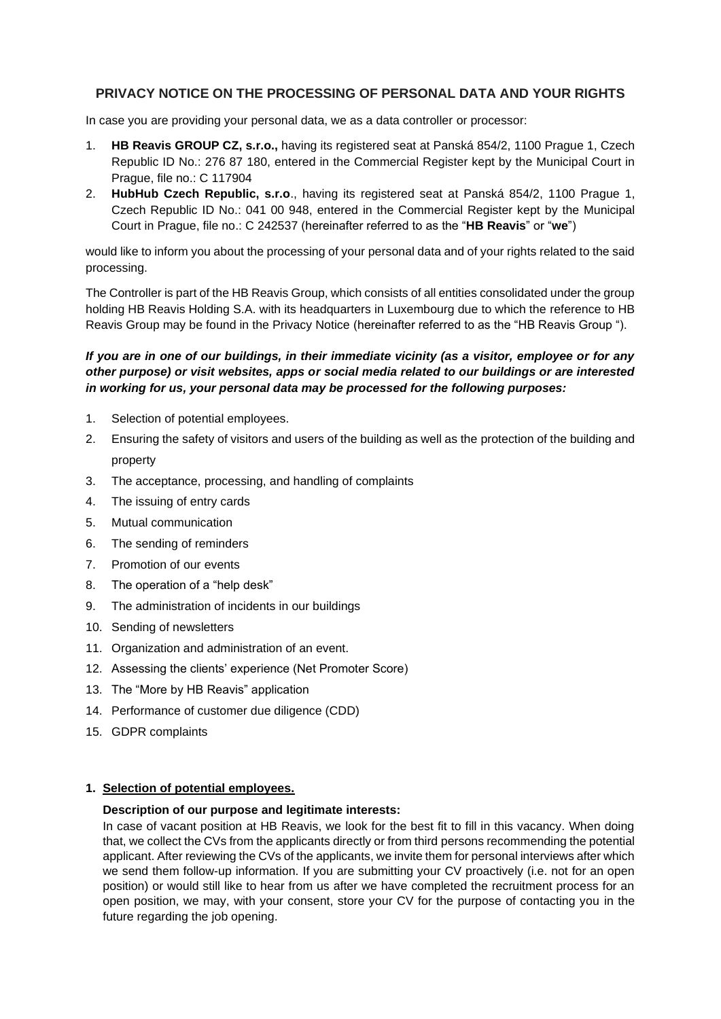# **PRIVACY NOTICE ON THE PROCESSING OF PERSONAL DATA AND YOUR RIGHTS**

In case you are providing your personal data, we as a data controller or processor:

- 1. **HB Reavis GROUP CZ, s.r.o.,** having its registered seat at Panská 854/2, 1100 Prague 1, Czech Republic ID No.: 276 87 180, entered in the Commercial Register kept by the Municipal Court in Prague, file no.: C 117904
- 2. **HubHub Czech Republic, s.r.o**., having its registered seat at Panská 854/2, 1100 Prague 1, Czech Republic ID No.: 041 00 948, entered in the Commercial Register kept by the Municipal Court in Prague, file no.: C 242537 (hereinafter referred to as the "**HB Reavis**" or "**we**")

would like to inform you about the processing of your personal data and of your rights related to the said processing.

The Controller is part of the HB Reavis Group, which consists of all entities consolidated under the group holding HB Reavis Holding S.A. with its headquarters in Luxembourg due to which the reference to HB Reavis Group may be found in the Privacy Notice (hereinafter referred to as the "HB Reavis Group ").

# *If you are in one of our buildings, in their immediate vicinity (as a visitor, employee or for any other purpose) or visit websites, apps or social media related to our buildings or are interested in working for us, your personal data may be processed for the following purposes:*

- 1. Selection of potential employees.
- 2. Ensuring the safety of visitors and users of the building as well as the protection of the building and property
- 3. The acceptance, processing, and handling of complaints
- 4. The issuing of entry cards
- 5. Mutual communication
- 6. The sending of reminders
- 7. Promotion of our events
- 8. The operation of a "help desk"
- 9. The administration of incidents in our buildings
- 10. Sending of newsletters
- 11. Organization and administration of an event.
- 12. Assessing the clients' experience (Net Promoter Score)
- 13. The "More by HB Reavis" application
- 14. Performance of customer due diligence (CDD)
- 15. GDPR complaints

### **1. Selection of potential employees.**

#### **Description of our purpose and legitimate interests:**

In case of vacant position at HB Reavis, we look for the best fit to fill in this vacancy. When doing that, we collect the CVs from the applicants directly or from third persons recommending the potential applicant. After reviewing the CVs of the applicants, we invite them for personal interviews after which we send them follow-up information. If you are submitting your CV proactively (i.e. not for an open position) or would still like to hear from us after we have completed the recruitment process for an open position, we may, with your consent, store your CV for the purpose of contacting you in the future regarding the job opening.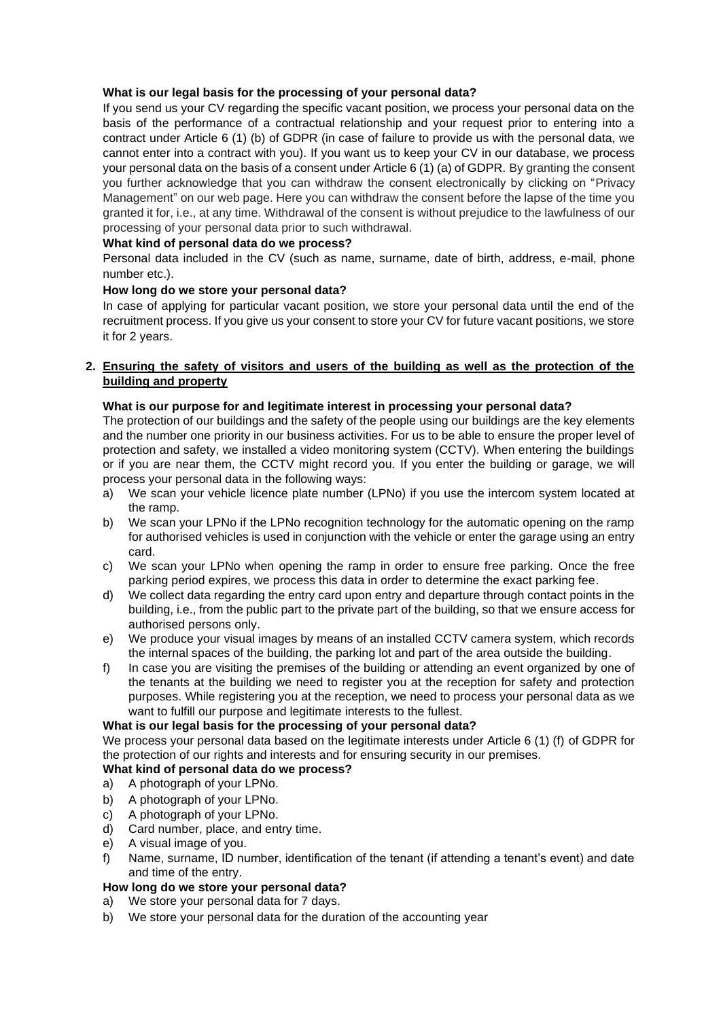# **What is our legal basis for the processing of your personal data?**

If you send us your CV regarding the specific vacant position, we process your personal data on the basis of the performance of a contractual relationship and your request prior to entering into a contract under Article 6 (1) (b) of GDPR (in case of failure to provide us with the personal data, we cannot enter into a contract with you). If you want us to keep your CV in our database, we process your personal data on the basis of a consent under Article 6 (1) (a) of GDPR. By granting the consent you further acknowledge that you can withdraw the consent electronically by clicking on "Privacy Management" on our web page. Here you can withdraw the consent before the lapse of the time you granted it for, i.e., at any time. Withdrawal of the consent is without prejudice to the lawfulness of our processing of your personal data prior to such withdrawal.

# **What kind of personal data do we process?**

Personal data included in the CV (such as name, surname, date of birth, address, e-mail, phone number etc.).

# **How long do we store your personal data?**

In case of applying for particular vacant position, we store your personal data until the end of the recruitment process. If you give us your consent to store your CV for future vacant positions, we store it for 2 years.

# **2. Ensuring the safety of visitors and users of the building as well as the protection of the building and property**

# **What is our purpose for and legitimate interest in processing your personal data?**

The protection of our buildings and the safety of the people using our buildings are the key elements and the number one priority in our business activities. For us to be able to ensure the proper level of protection and safety, we installed a video monitoring system (CCTV). When entering the buildings or if you are near them, the CCTV might record you. If you enter the building or garage, we will process your personal data in the following ways:

- a) We scan your vehicle licence plate number (LPNo) if you use the intercom system located at the ramp.
- b) We scan your LPNo if the LPNo recognition technology for the automatic opening on the ramp for authorised vehicles is used in conjunction with the vehicle or enter the garage using an entry card.
- c) We scan your LPNo when opening the ramp in order to ensure free parking. Once the free parking period expires, we process this data in order to determine the exact parking fee.
- d) We collect data regarding the entry card upon entry and departure through contact points in the building, i.e., from the public part to the private part of the building, so that we ensure access for authorised persons only.
- e) We produce your visual images by means of an installed CCTV camera system, which records the internal spaces of the building, the parking lot and part of the area outside the building.
- f) In case you are visiting the premises of the building or attending an event organized by one of the tenants at the building we need to register you at the reception for safety and protection purposes. While registering you at the reception, we need to process your personal data as we want to fulfill our purpose and legitimate interests to the fullest.

# **What is our legal basis for the processing of your personal data?**

We process your personal data based on the legitimate interests under Article 6 (1) (f) of GDPR for the protection of our rights and interests and for ensuring security in our premises.

# **What kind of personal data do we process?**

- a) A photograph of your LPNo.
- b) A photograph of your LPNo.
- c) A photograph of your LPNo.
- d) Card number, place, and entry time.
- e) A visual image of you.
- f) Name, surname, ID number, identification of the tenant (if attending a tenant's event) and date and time of the entry.

# **How long do we store your personal data?**

- a) We store your personal data for 7 days.
- b) We store your personal data for the duration of the accounting year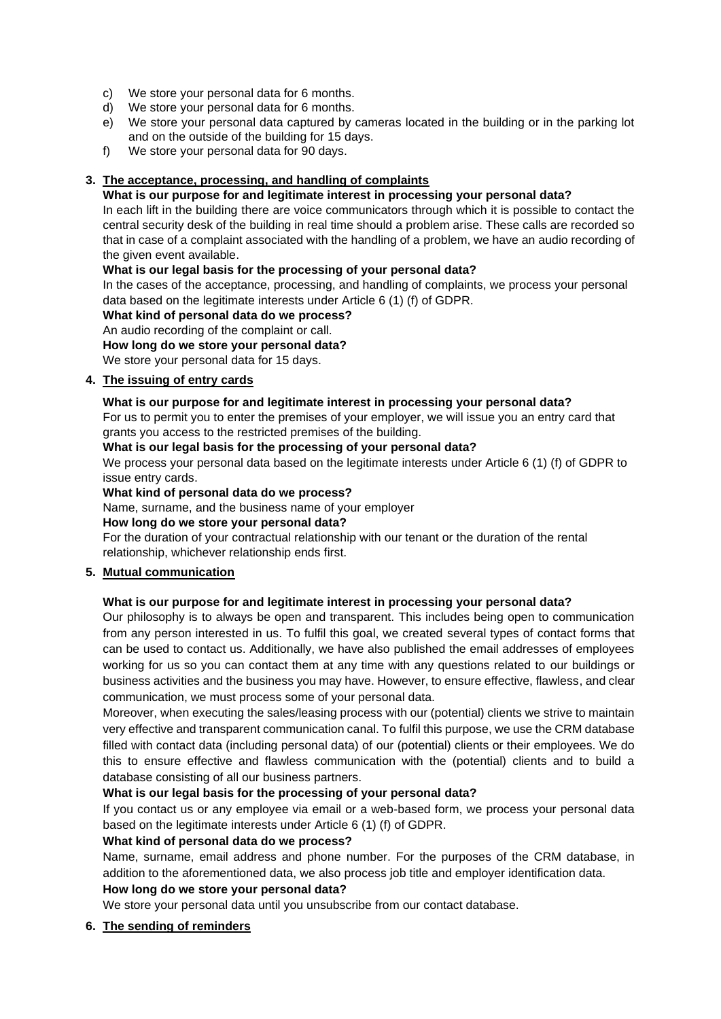- c) We store your personal data for 6 months.
- d) We store your personal data for 6 months.
- e) We store your personal data captured by cameras located in the building or in the parking lot and on the outside of the building for 15 days.
- f) We store your personal data for 90 days.

# **3. The acceptance, processing, and handling of complaints**

# **What is our purpose for and legitimate interest in processing your personal data?**

In each lift in the building there are voice communicators through which it is possible to contact the central security desk of the building in real time should a problem arise. These calls are recorded so that in case of a complaint associated with the handling of a problem, we have an audio recording of the given event available.

### **What is our legal basis for the processing of your personal data?**

In the cases of the acceptance, processing, and handling of complaints, we process your personal data based on the legitimate interests under Article 6 (1) (f) of GDPR.

### **What kind of personal data do we process?**

An audio recording of the complaint or call.

**How long do we store your personal data?**

We store your personal data for 15 days.

# **4. The issuing of entry cards**

# **What is our purpose for and legitimate interest in processing your personal data?**

For us to permit you to enter the premises of your employer, we will issue you an entry card that grants you access to the restricted premises of the building.

### **What is our legal basis for the processing of your personal data?**

We process your personal data based on the legitimate interests under Article 6 (1) (f) of GDPR to issue entry cards.

### **What kind of personal data do we process?**

Name, surname, and the business name of your employer

# **How long do we store your personal data?**

For the duration of your contractual relationship with our tenant or the duration of the rental relationship, whichever relationship ends first.

# **5. Mutual communication**

# **What is our purpose for and legitimate interest in processing your personal data?**

Our philosophy is to always be open and transparent. This includes being open to communication from any person interested in us. To fulfil this goal, we created several types of contact forms that can be used to contact us. Additionally, we have also published the email addresses of employees working for us so you can contact them at any time with any questions related to our buildings or business activities and the business you may have. However, to ensure effective, flawless, and clear communication, we must process some of your personal data.

Moreover, when executing the sales/leasing process with our (potential) clients we strive to maintain very effective and transparent communication canal. To fulfil this purpose, we use the CRM database filled with contact data (including personal data) of our (potential) clients or their employees. We do this to ensure effective and flawless communication with the (potential) clients and to build a database consisting of all our business partners.

# **What is our legal basis for the processing of your personal data?**

If you contact us or any employee via email or a web-based form, we process your personal data based on the legitimate interests under Article 6 (1) (f) of GDPR.

# **What kind of personal data do we process?**

Name, surname, email address and phone number. For the purposes of the CRM database, in addition to the aforementioned data, we also process job title and employer identification data.

# **How long do we store your personal data?**

We store your personal data until you unsubscribe from our contact database.

# **6. The sending of reminders**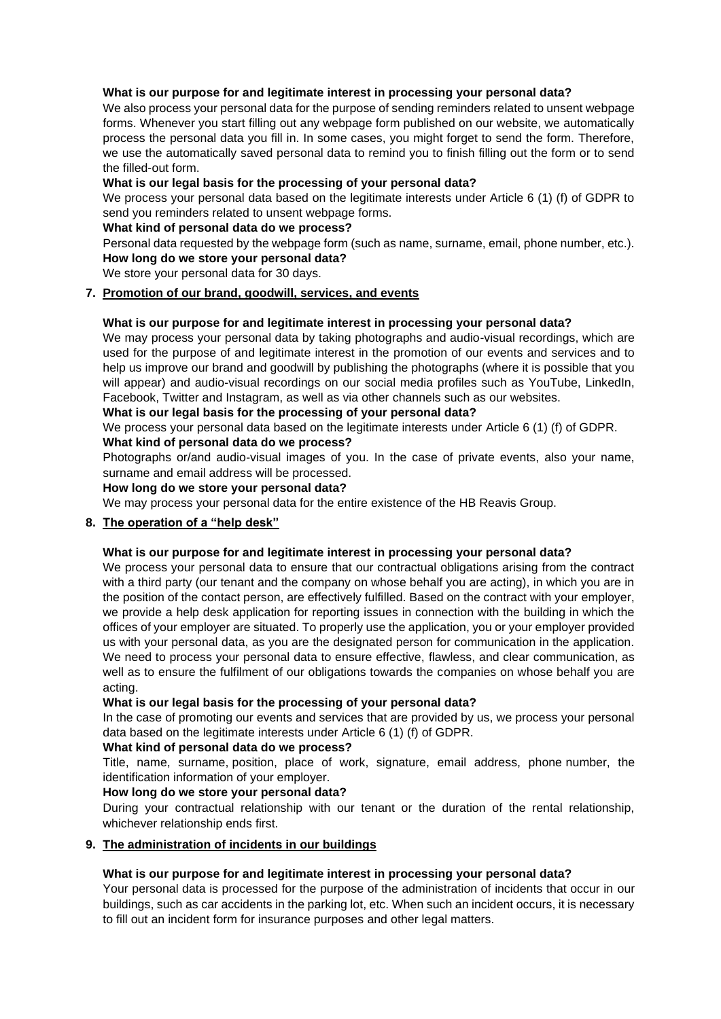### **What is our purpose for and legitimate interest in processing your personal data?**

We also process your personal data for the purpose of sending reminders related to unsent webpage forms. Whenever you start filling out any webpage form published on our website, we automatically process the personal data you fill in. In some cases, you might forget to send the form. Therefore, we use the automatically saved personal data to remind you to finish filling out the form or to send the filled-out form.

# **What is our legal basis for the processing of your personal data?**

We process your personal data based on the legitimate interests under Article 6 (1) (f) of GDPR to send you reminders related to unsent webpage forms.

### **What kind of personal data do we process?**

Personal data requested by the webpage form (such as name, surname, email, phone number, etc.). **How long do we store your personal data?**

We store your personal data for 30 days.

### **7. Promotion of our brand, goodwill, services, and events**

### **What is our purpose for and legitimate interest in processing your personal data?**

We may process your personal data by taking photographs and audio-visual recordings, which are used for the purpose of and legitimate interest in the promotion of our events and services and to help us improve our brand and goodwill by publishing the photographs (where it is possible that you will appear) and audio-visual recordings on our social media profiles such as YouTube, LinkedIn, Facebook, Twitter and Instagram, as well as via other channels such as our websites.

### **What is our legal basis for the processing of your personal data?**

We process your personal data based on the legitimate interests under Article 6 (1) (f) of GDPR.

#### **What kind of personal data do we process?**

Photographs or/and audio-visual images of you. In the case of private events, also your name, surname and email address will be processed.

### **How long do we store your personal data?**

We may process your personal data for the entire existence of the HB Reavis Group.

# **8. The operation of a "help desk"**

#### **What is our purpose for and legitimate interest in processing your personal data?**

We process your personal data to ensure that our contractual obligations arising from the contract with a third party (our tenant and the company on whose behalf you are acting), in which you are in the position of the contact person, are effectively fulfilled. Based on the contract with your employer, we provide a help desk application for reporting issues in connection with the building in which the offices of your employer are situated. To properly use the application, you or your employer provided us with your personal data, as you are the designated person for communication in the application. We need to process your personal data to ensure effective, flawless, and clear communication, as well as to ensure the fulfilment of our obligations towards the companies on whose behalf you are acting.

#### **What is our legal basis for the processing of your personal data?**

In the case of promoting our events and services that are provided by us, we process your personal data based on the legitimate interests under Article 6 (1) (f) of GDPR.

#### **What kind of personal data do we process?**

Title, name, surname, position, place of work, signature, email address, phone number, the identification information of your employer.

#### **How long do we store your personal data?**

During your contractual relationship with our tenant or the duration of the rental relationship, whichever relationship ends first.

# **9. The administration of incidents in our buildings**

# **What is our purpose for and legitimate interest in processing your personal data?**

Your personal data is processed for the purpose of the administration of incidents that occur in our buildings, such as car accidents in the parking lot, etc. When such an incident occurs, it is necessary to fill out an incident form for insurance purposes and other legal matters.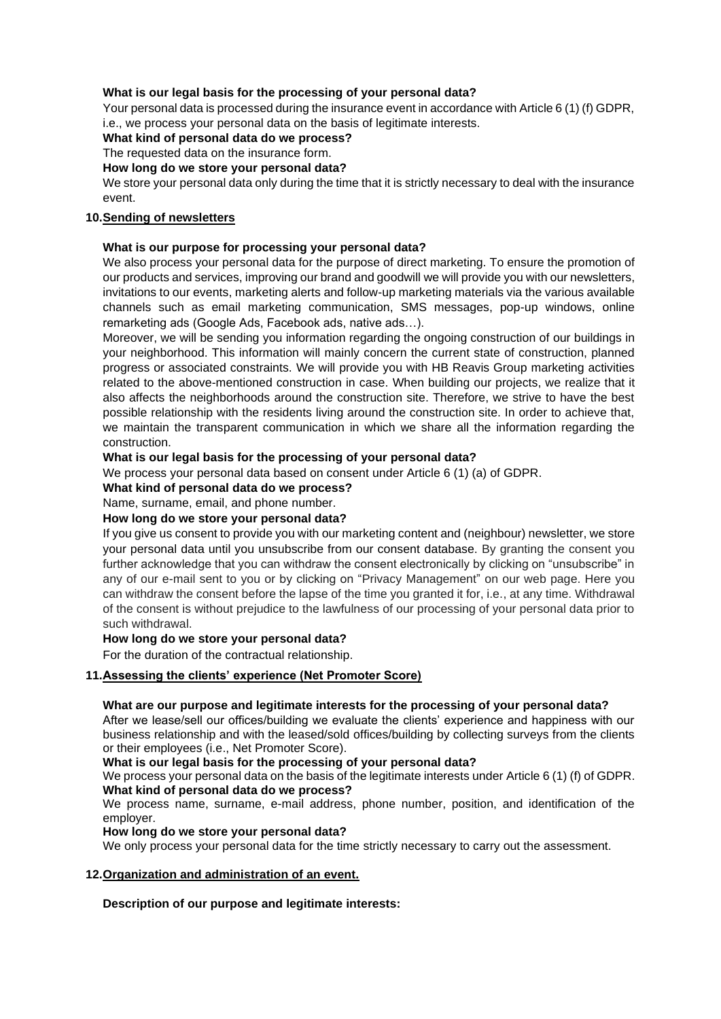# **What is our legal basis for the processing of your personal data?**

Your personal data is processed during the insurance event in accordance with Article 6 (1) (f) GDPR, i.e., we process your personal data on the basis of legitimate interests.

# **What kind of personal data do we process?**

The requested data on the insurance form.

# **How long do we store your personal data?**

We store your personal data only during the time that it is strictly necessary to deal with the insurance event.

# **10.Sending of newsletters**

### **What is our purpose for processing your personal data?**

We also process your personal data for the purpose of direct marketing. To ensure the promotion of our products and services, improving our brand and goodwill we will provide you with our newsletters, invitations to our events, marketing alerts and follow-up marketing materials via the various available channels such as email marketing communication, SMS messages, pop-up windows, online remarketing ads (Google Ads, Facebook ads, native ads…).

Moreover, we will be sending you information regarding the ongoing construction of our buildings in your neighborhood. This information will mainly concern the current state of construction, planned progress or associated constraints. We will provide you with HB Reavis Group marketing activities related to the above-mentioned construction in case. When building our projects, we realize that it also affects the neighborhoods around the construction site. Therefore, we strive to have the best possible relationship with the residents living around the construction site. In order to achieve that, we maintain the transparent communication in which we share all the information regarding the construction.

### **What is our legal basis for the processing of your personal data?**

We process your personal data based on consent under Article 6 (1) (a) of GDPR.

**What kind of personal data do we process?**

Name, surname, email, and phone number.

#### **How long do we store your personal data?**

If you give us consent to provide you with our marketing content and (neighbour) newsletter, we store your personal data until you unsubscribe from our consent database. By granting the consent you further acknowledge that you can withdraw the consent electronically by clicking on "unsubscribe" in any of our e-mail sent to you or by clicking on "Privacy Management" on our web page. Here you can withdraw the consent before the lapse of the time you granted it for, i.e., at any time. Withdrawal of the consent is without prejudice to the lawfulness of our processing of your personal data prior to such withdrawal.

# **How long do we store your personal data?**

For the duration of the contractual relationship.

# **11.Assessing the clients' experience (Net Promoter Score)**

#### **What are our purpose and legitimate interests for the processing of your personal data?**

After we lease/sell our offices/building we evaluate the clients' experience and happiness with our business relationship and with the leased/sold offices/building by collecting surveys from the clients or their employees (i.e., Net Promoter Score).

### **What is our legal basis for the processing of your personal data?**

We process your personal data on the basis of the legitimate interests under Article 6 (1) (f) of GDPR. **What kind of personal data do we process?**

We process name, surname, e-mail address, phone number, position, and identification of the employer.

#### **How long do we store your personal data?**

We only process your personal data for the time strictly necessary to carry out the assessment.

#### **12.Organization and administration of an event.**

**Description of our purpose and legitimate interests:**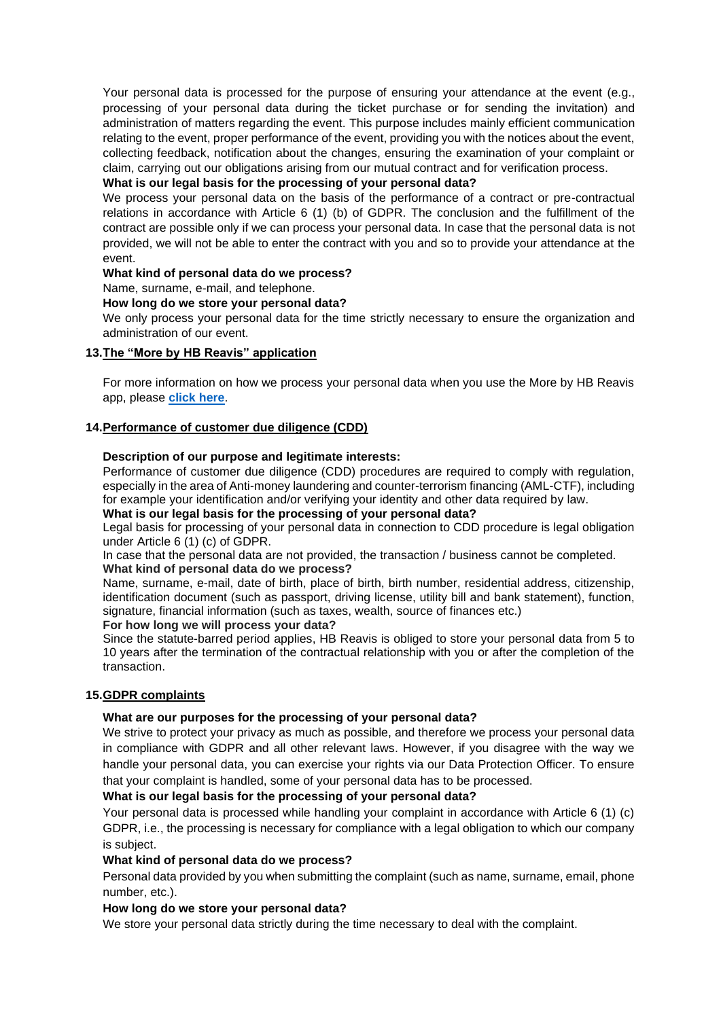Your personal data is processed for the purpose of ensuring your attendance at the event (e.g., processing of your personal data during the ticket purchase or for sending the invitation) and administration of matters regarding the event. This purpose includes mainly efficient communication relating to the event, proper performance of the event, providing you with the notices about the event, collecting feedback, notification about the changes, ensuring the examination of your complaint or claim, carrying out our obligations arising from our mutual contract and for verification process.

# **What is our legal basis for the processing of your personal data?**

We process your personal data on the basis of the performance of a contract or pre-contractual relations in accordance with Article 6 (1) (b) of GDPR. The conclusion and the fulfillment of the contract are possible only if we can process your personal data. In case that the personal data is not provided, we will not be able to enter the contract with you and so to provide your attendance at the event.

### **What kind of personal data do we process?**

Name, surname, e-mail, and telephone.

### **How long do we store your personal data?**

We only process your personal data for the time strictly necessary to ensure the organization and administration of our event.

# **13.The "More by HB Reavis" application**

For more information on how we process your personal data when you use the More by HB Reavis app, please **[click here](https://hbreavis.com/wp-content/uploads/2022/04/GDPR_PrivacyNotice_AllActivities_MorebyHBReavis_ENG_20220323.pdf)**.

### **14.Performance of customer due diligence (CDD)**

### **Description of our purpose and legitimate interests:**

Performance of customer due diligence (CDD) procedures are required to comply with regulation, especially in the area of Anti-money laundering and counter-terrorism financing (AML-CTF), including for example your identification and/or verifying your identity and other data required by law.

#### **What is our legal basis for the processing of your personal data?**

Legal basis for processing of your personal data in connection to CDD procedure is legal obligation under Article 6 (1) (c) of GDPR.

In case that the personal data are not provided, the transaction / business cannot be completed. **What kind of personal data do we process?**

Name, surname, e-mail, date of birth, place of birth, birth number, residential address, citizenship, identification document (such as passport, driving license, utility bill and bank statement), function, signature, financial information (such as taxes, wealth, source of finances etc.)

#### **For how long we will process your data?**

Since the statute-barred period applies, HB Reavis is obliged to store your personal data from 5 to 10 years after the termination of the contractual relationship with you or after the completion of the transaction.

# **15.GDPR complaints**

# **What are our purposes for the processing of your personal data?**

We strive to protect your privacy as much as possible, and therefore we process your personal data in compliance with GDPR and all other relevant laws. However, if you disagree with the way we handle your personal data, you can exercise your rights via our Data Protection Officer. To ensure that your complaint is handled, some of your personal data has to be processed.

# **What is our legal basis for the processing of your personal data?**

Your personal data is processed while handling your complaint in accordance with Article 6 (1) (c) GDPR, i.e., the processing is necessary for compliance with a legal obligation to which our company is subject.

# **What kind of personal data do we process?**

Personal data provided by you when submitting the complaint (such as name, surname, email, phone number, etc.).

### **How long do we store your personal data?**

We store your personal data strictly during the time necessary to deal with the complaint.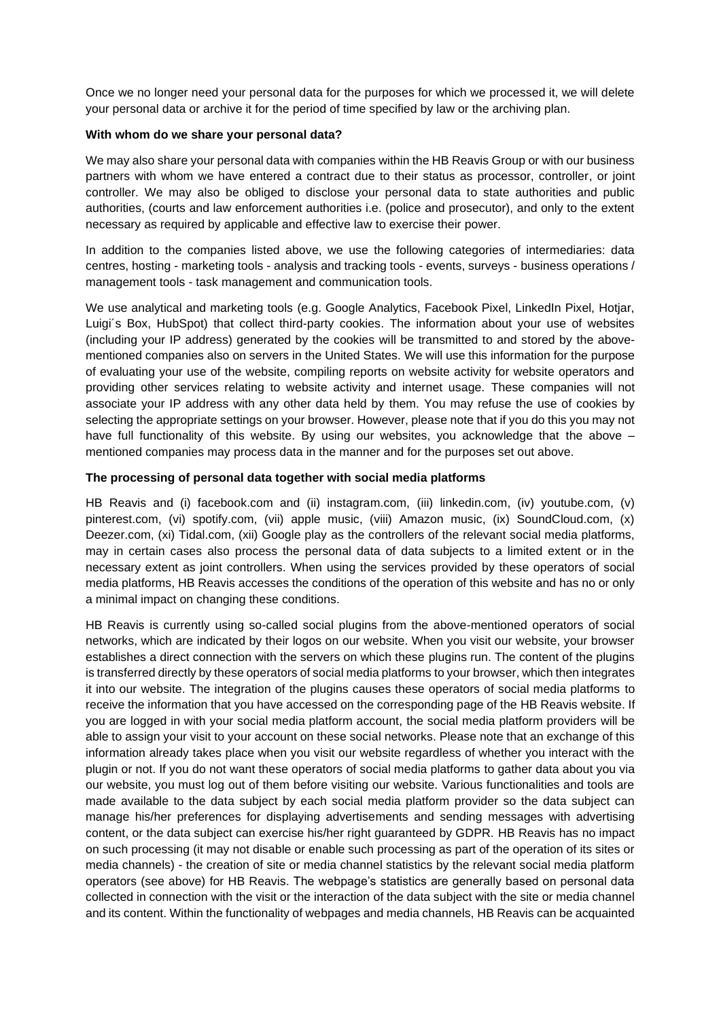Once we no longer need your personal data for the purposes for which we processed it, we will delete your personal data or archive it for the period of time specified by law or the archiving plan.

### **With whom do we share your personal data?**

We may also share your personal data with companies within the HB Reavis Group or with our business partners with whom we have entered a contract due to their status as processor, controller, or joint controller. We may also be obliged to disclose your personal data to state authorities and public authorities, (courts and law enforcement authorities i.e. (police and prosecutor), and only to the extent necessary as required by applicable and effective law to exercise their power.

In addition to the companies listed above, we use the following categories of intermediaries: data centres, hosting - marketing tools - analysis and tracking tools - events, surveys - business operations / management tools - task management and communication tools.

We use analytical and marketing tools (e.g. Google Analytics, Facebook Pixel, LinkedIn Pixel, Hotjar, Luigi´s Box, HubSpot) that collect third-party cookies. The information about your use of websites (including your IP address) generated by the cookies will be transmitted to and stored by the abovementioned companies also on servers in the United States. We will use this information for the purpose of evaluating your use of the website, compiling reports on website activity for website operators and providing other services relating to website activity and internet usage. These companies will not associate your IP address with any other data held by them. You may refuse the use of cookies by selecting the appropriate settings on your browser. However, please note that if you do this you may not have full functionality of this website. By using our websites, you acknowledge that the above – mentioned companies may process data in the manner and for the purposes set out above.

### **The processing of personal data together with social media platforms**

HB Reavis and (i) facebook.com and (ii) instagram.com, (iii) linkedin.com, (iv) youtube.com, (v) pinterest.com, (vi) spotify.com, (vii) apple music, (viii) Amazon music, (ix) SoundCloud.com, (x) Deezer.com, (xi) Tidal.com, (xii) Google play as the controllers of the relevant social media platforms, may in certain cases also process the personal data of data subjects to a limited extent or in the necessary extent as joint controllers. When using the services provided by these operators of social media platforms, HB Reavis accesses the conditions of the operation of this website and has no or only a minimal impact on changing these conditions.

HB Reavis is currently using so-called social plugins from the above-mentioned operators of social networks, which are indicated by their logos on our website. When you visit our website, your browser establishes a direct connection with the servers on which these plugins run. The content of the plugins is transferred directly by these operators of social media platforms to your browser, which then integrates it into our website. The integration of the plugins causes these operators of social media platforms to receive the information that you have accessed on the corresponding page of the HB Reavis website. If you are logged in with your social media platform account, the social media platform providers will be able to assign your visit to your account on these social networks. Please note that an exchange of this information already takes place when you visit our website regardless of whether you interact with the plugin or not. If you do not want these operators of social media platforms to gather data about you via our website, you must log out of them before visiting our website. Various functionalities and tools are made available to the data subject by each social media platform provider so the data subject can manage his/her preferences for displaying advertisements and sending messages with advertising content, or the data subject can exercise his/her right guaranteed by GDPR. HB Reavis has no impact on such processing (it may not disable or enable such processing as part of the operation of its sites or media channels) - the creation of site or media channel statistics by the relevant social media platform operators (see above) for HB Reavis. The webpage's statistics are generally based on personal data collected in connection with the visit or the interaction of the data subject with the site or media channel and its content. Within the functionality of webpages and media channels, HB Reavis can be acquainted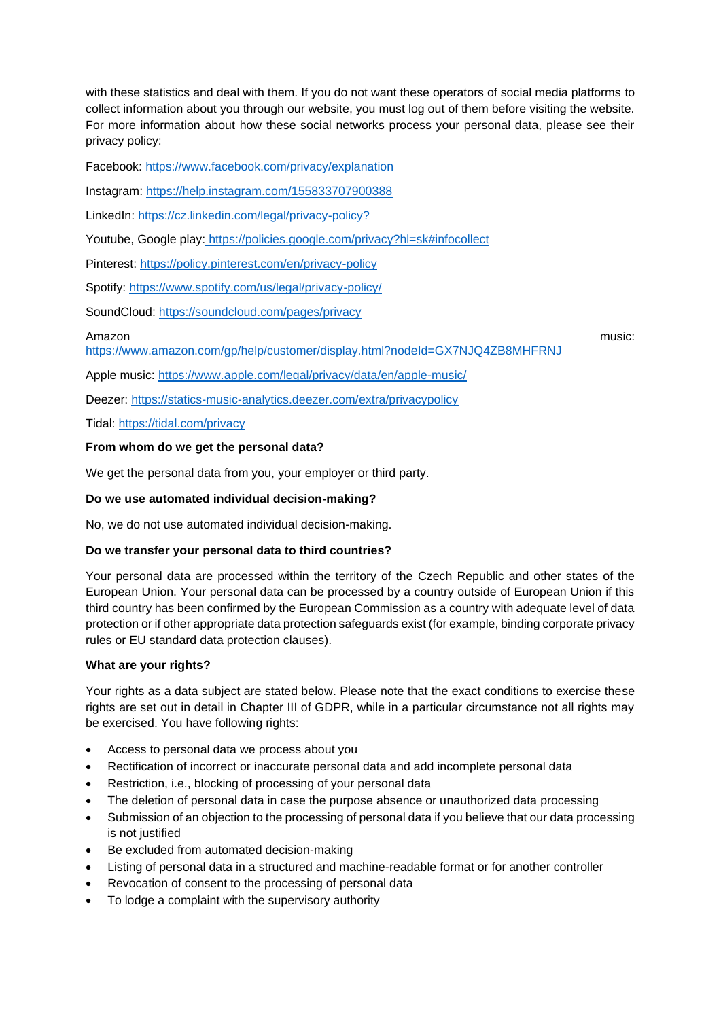with these statistics and deal with them. If you do not want these operators of social media platforms to collect information about you through our website, you must log out of them before visiting the website. For more information about how these social networks process your personal data, please see their privacy policy:

Facebook:<https://www.facebook.com/privacy/explanation>

Instagram:<https://help.instagram.com/155833707900388>

LinkedIn: [https://cz.linkedin.com/legal/privacy-policy?](https://cz.linkedin.com/legal/privacy-policy)

Youtube, Google play: <https://policies.google.com/privacy?hl=sk#infocollect>

Pinterest:<https://policy.pinterest.com/en/privacy-policy>

Spotify:<https://www.spotify.com/us/legal/privacy-policy/>

SoundCloud:<https://soundcloud.com/pages/privacy>

Amazon music:

<https://www.amazon.com/gp/help/customer/display.html?nodeId=GX7NJQ4ZB8MHFRNJ>

Apple music:<https://www.apple.com/legal/privacy/data/en/apple-music/>

Deezer:<https://statics-music-analytics.deezer.com/extra/privacypolicy>

Tidal:<https://tidal.com/privacy>

#### **From whom do we get the personal data?**

We get the personal data from you, your employer or third party.

### **Do we use automated individual decision-making?**

No, we do not use automated individual decision-making.

# **Do we transfer your personal data to third countries?**

Your personal data are processed within the territory of the Czech Republic and other states of the European Union. Your personal data can be processed by a country outside of European Union if this third country has been confirmed by the European Commission as a country with adequate level of data protection or if other appropriate data protection safeguards exist (for example, binding corporate privacy rules or EU standard data protection clauses).

#### **What are your rights?**

Your rights as a data subject are stated below. Please note that the exact conditions to exercise these rights are set out in detail in Chapter III of GDPR, while in a particular circumstance not all rights may be exercised. You have following rights:

- Access to personal data we process about you
- Rectification of incorrect or inaccurate personal data and add incomplete personal data
- Restriction, i.e., blocking of processing of your personal data
- The deletion of personal data in case the purpose absence or unauthorized data processing
- Submission of an objection to the processing of personal data if you believe that our data processing is not justified
- Be excluded from automated decision-making
- Listing of personal data in a structured and machine-readable format or for another controller
- Revocation of consent to the processing of personal data
- To lodge a complaint with the supervisory authority